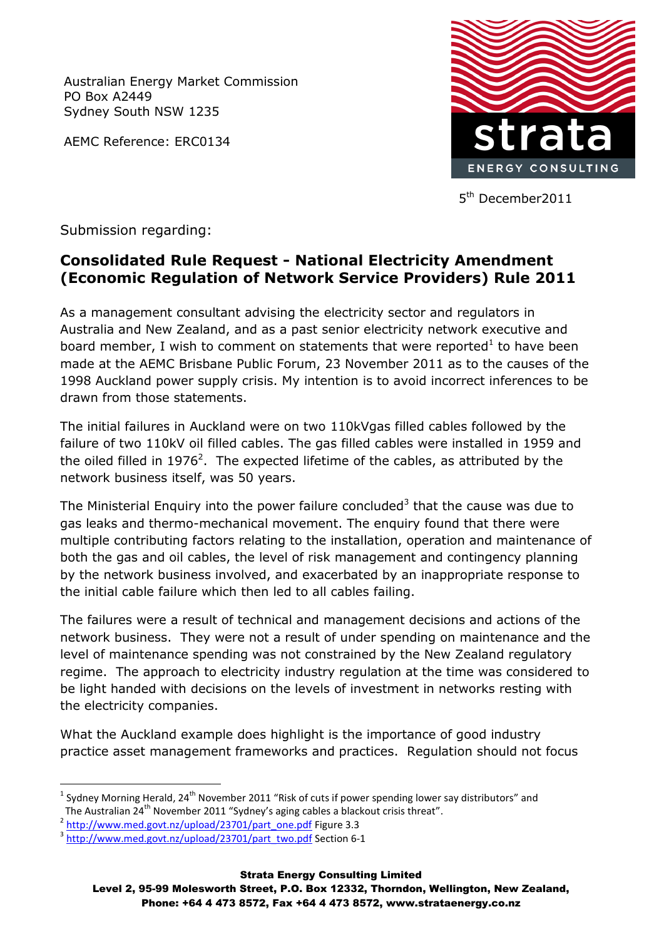Australian Energy Market Commission PO Box A2449 Sydney South NSW 1235

AEMC Reference: ERC0134



5 th December2011

Submission regarding:

## **Consolidated Rule Request - National Electricity Amendment (Economic Regulation of Network Service Providers) Rule 2011**

As a management consultant advising the electricity sector and regulators in Australia and New Zealand, and as a past senior electricity network executive and board member, I wish to comment on statements that were reported<sup>1</sup> to have been made at the AEMC Brisbane Public Forum, 23 November 2011 as to the causes of the 1998 Auckland power supply crisis. My intention is to avoid incorrect inferences to be drawn from those statements.

The initial failures in Auckland were on two 110kVgas filled cables followed by the failure of two 110kV oil filled cables. The gas filled cables were installed in 1959 and the oiled filled in 1976<sup>2</sup>. The expected lifetime of the cables, as attributed by the network business itself, was 50 years.

The Ministerial Enquiry into the power failure concluded<sup>3</sup> that the cause was due to gas leaks and thermo-mechanical movement. The enquiry found that there were multiple contributing factors relating to the installation, operation and maintenance of both the gas and oil cables, the level of risk management and contingency planning by the network business involved, and exacerbated by an inappropriate response to the initial cable failure which then led to all cables failing.

The failures were a result of technical and management decisions and actions of the network business. They were not a result of under spending on maintenance and the level of maintenance spending was not constrained by the New Zealand regulatory regime. The approach to electricity industry regulation at the time was considered to be light handed with decisions on the levels of investment in networks resting with the electricity companies.

What the Auckland example does highlight is the importance of good industry practice asset management frameworks and practices. Regulation should not focus

1

 $^1$  Sydney Morning Herald, 24<sup>th</sup> November 2011 "Risk of cuts if power spending lower say distributors" and The Australian 24<sup>th</sup> November 2011 "Sydney's aging cables a blackout crisis threat".

<sup>&</sup>lt;sup>2</sup> [http://www.med.govt.nz/upload/23701/part\\_one.pdf](http://www.med.govt.nz/upload/23701/part_one.pdf) Figure 3.3

<sup>&</sup>lt;sup>3</sup> [http://www.med.govt.nz/upload/23701/part\\_two.pdf](http://www.med.govt.nz/upload/23701/part_two.pdf) Section 6-1